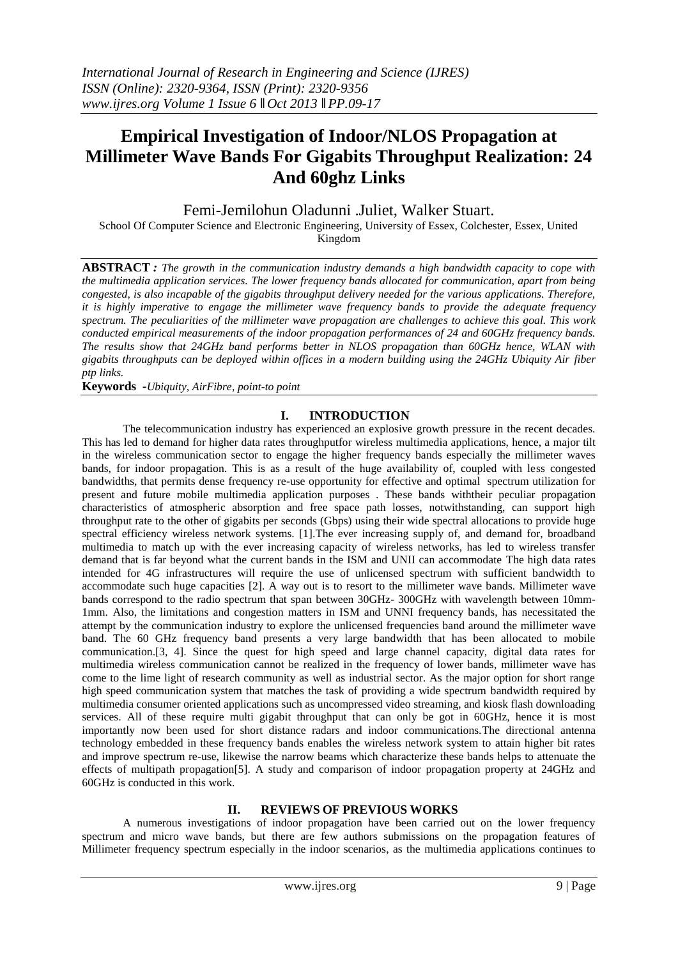# **Empirical Investigation of Indoor/NLOS Propagation at Millimeter Wave Bands For Gigabits Throughput Realization: 24 And 60ghz Links**

Femi-Jemilohun Oladunni .Juliet, Walker Stuart.

School Of Computer Science and Electronic Engineering, University of Essex, Colchester, Essex, United Kingdom

**ABSTRACT** *: The growth in the communication industry demands a high bandwidth capacity to cope with the multimedia application services. The lower frequency bands allocated for communication, apart from being congested, is also incapable of the gigabits throughput delivery needed for the various applications. Therefore, it is highly imperative to engage the millimeter wave frequency bands to provide the adequate frequency spectrum. The peculiarities of the millimeter wave propagation are challenges to achieve this goal. This work conducted empirical measurements of the indoor propagation performances of 24 and 60GHz frequency bands. The results show that 24GHz band performs better in NLOS propagation than 60GHz hence, WLAN with gigabits throughputs can be deployed within offices in a modern building using the 24GHz Ubiquity Air fiber ptp links.*

**Keywords** *-Ubiquity, AirFibre, point-to point*

## **I. INTRODUCTION**

The telecommunication industry has experienced an explosive growth pressure in the recent decades. This has led to demand for higher data rates throughputfor wireless multimedia applications, hence, a major tilt in the wireless communication sector to engage the higher frequency bands especially the millimeter waves bands, for indoor propagation. This is as a result of the huge availability of, coupled with less congested bandwidths, that permits dense frequency re-use opportunity for effective and optimal spectrum utilization for present and future mobile multimedia application purposes . These bands withtheir peculiar propagation characteristics of atmospheric absorption and free space path losses, notwithstanding, can support high throughput rate to the other of gigabits per seconds (Gbps) using their wide spectral allocations to provide huge spectral efficiency wireless network systems. [1].The ever increasing supply of, and demand for, broadband multimedia to match up with the ever increasing capacity of wireless networks, has led to wireless transfer demand that is far beyond what the current bands in the ISM and UNII can accommodate The high data rates intended for 4G infrastructures will require the use of unlicensed spectrum with sufficient bandwidth to accommodate such huge capacities [2]. A way out is to resort to the millimeter wave bands. Millimeter wave bands correspond to the radio spectrum that span between 30GHz- 300GHz with wavelength between 10mm-1mm. Also, the limitations and congestion matters in ISM and UNNI frequency bands, has necessitated the attempt by the communication industry to explore the unlicensed frequencies band around the millimeter wave band. The 60 GHz frequency band presents a very large bandwidth that has been allocated to mobile communication.[3, 4]. Since the quest for high speed and large channel capacity, digital data rates for multimedia wireless communication cannot be realized in the frequency of lower bands, millimeter wave has come to the lime light of research community as well as industrial sector. As the major option for short range high speed communication system that matches the task of providing a wide spectrum bandwidth required by multimedia consumer oriented applications such as uncompressed video streaming, and kiosk flash downloading services. All of these require multi gigabit throughput that can only be got in 60GHz, hence it is most importantly now been used for short distance radars and indoor communications.The directional antenna technology embedded in these frequency bands enables the wireless network system to attain higher bit rates and improve spectrum re-use, likewise the narrow beams which characterize these bands helps to attenuate the effects of multipath propagation[5]. A study and comparison of indoor propagation property at 24GHz and 60GHz is conducted in this work.

## **II. REVIEWS OF PREVIOUS WORKS**

A numerous investigations of indoor propagation have been carried out on the lower frequency spectrum and micro wave bands, but there are few authors submissions on the propagation features of Millimeter frequency spectrum especially in the indoor scenarios, as the multimedia applications continues to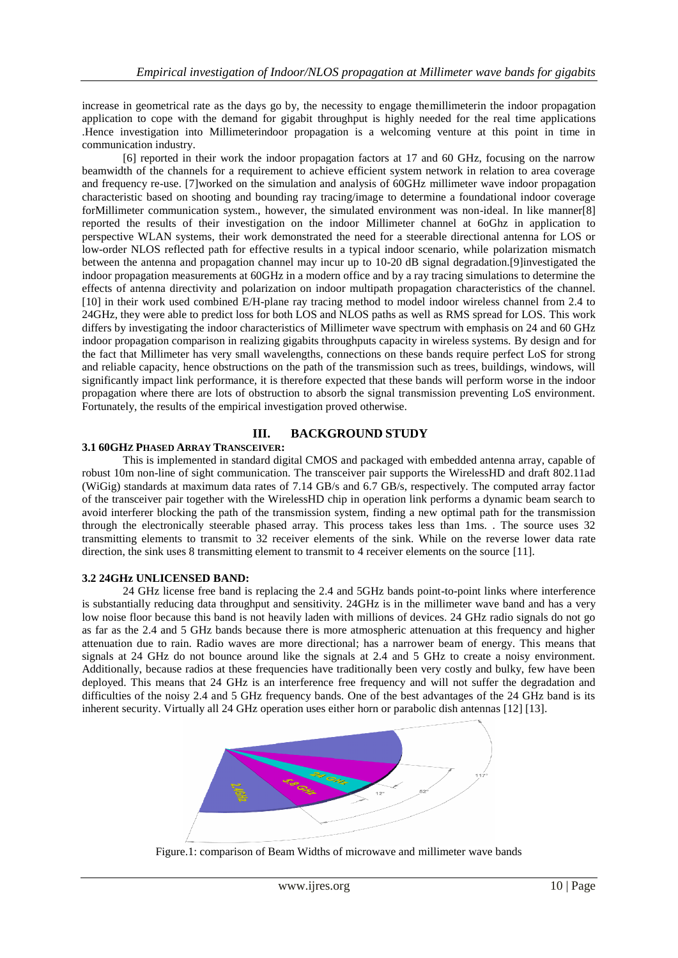increase in geometrical rate as the days go by, the necessity to engage themillimeterin the indoor propagation application to cope with the demand for gigabit throughput is highly needed for the real time applications .Hence investigation into Millimeterindoor propagation is a welcoming venture at this point in time in communication industry.

[6] reported in their work the indoor propagation factors at 17 and 60 GHz, focusing on the narrow beamwidth of the channels for a requirement to achieve efficient system network in relation to area coverage and frequency re-use. [7]worked on the simulation and analysis of 60GHz millimeter wave indoor propagation characteristic based on shooting and bounding ray tracing/image to determine a foundational indoor coverage forMillimeter communication system., however, the simulated environment was non-ideal. In like manner[8] reported the results of their investigation on the indoor Millimeter channel at 6oGhz in application to perspective WLAN systems, their work demonstrated the need for a steerable directional antenna for LOS or low-order NLOS reflected path for effective results in a typical indoor scenario, while polarization mismatch between the antenna and propagation channel may incur up to 10-20 dB signal degradation.[9]investigated the indoor propagation measurements at 60GHz in a modern office and by a ray tracing simulations to determine the effects of antenna directivity and polarization on indoor multipath propagation characteristics of the channel. [10] in their work used combined E/H-plane ray tracing method to model indoor wireless channel from 2.4 to 24GHz, they were able to predict loss for both LOS and NLOS paths as well as RMS spread for LOS. This work differs by investigating the indoor characteristics of Millimeter wave spectrum with emphasis on 24 and 60 GHz indoor propagation comparison in realizing gigabits throughputs capacity in wireless systems. By design and for the fact that Millimeter has very small wavelengths, connections on these bands require perfect LoS for strong and reliable capacity, hence obstructions on the path of the transmission such as trees, buildings, windows, will significantly impact link performance, it is therefore expected that these bands will perform worse in the indoor propagation where there are lots of obstruction to absorb the signal transmission preventing LoS environment. Fortunately, the results of the empirical investigation proved otherwise.

## **III. BACKGROUND STUDY**

## **3.1 60GHZ PHASED ARRAY TRANSCEIVER:**

This is implemented in standard digital CMOS and packaged with embedded antenna array, capable of robust 10m non-line of sight communication. The transceiver pair supports the WirelessHD and draft 802.11ad (WiGig) standards at maximum data rates of 7.14 GB/s and 6.7 GB/s, respectively. The computed array factor of the transceiver pair together with the WirelessHD chip in operation link performs a dynamic beam search to avoid interferer blocking the path of the transmission system, finding a new optimal path for the transmission through the electronically steerable phased array. This process takes less than 1ms. . The source uses 32 transmitting elements to transmit to 32 receiver elements of the sink. While on the reverse lower data rate direction, the sink uses 8 transmitting element to transmit to 4 receiver elements on the source [11].

## **3.2 24GHz UNLICENSED BAND:**

24 GHz license free band is replacing the 2.4 and 5GHz bands point-to-point links where interference is substantially reducing data throughput and sensitivity. 24GHz is in the millimeter wave band and has a very low noise floor because this band is not heavily laden with millions of devices. 24 GHz radio signals do not go as far as the 2.4 and 5 GHz bands because there is more atmospheric attenuation at this frequency and higher attenuation due to rain. Radio waves are more directional; has a narrower beam of energy. This means that signals at 24 GHz do not bounce around like the signals at 2.4 and 5 GHz to create a noisy environment. Additionally, because radios at these frequencies have traditionally been very costly and bulky, few have been deployed. This means that 24 GHz is an interference free frequency and will not suffer the degradation and difficulties of the noisy 2.4 and 5 GHz frequency bands. One of the best advantages of the 24 GHz band is its inherent security. Virtually all 24 GHz operation uses either horn or parabolic dish antennas [12] [13].



Figure.1: comparison of Beam Widths of microwave and millimeter wave bands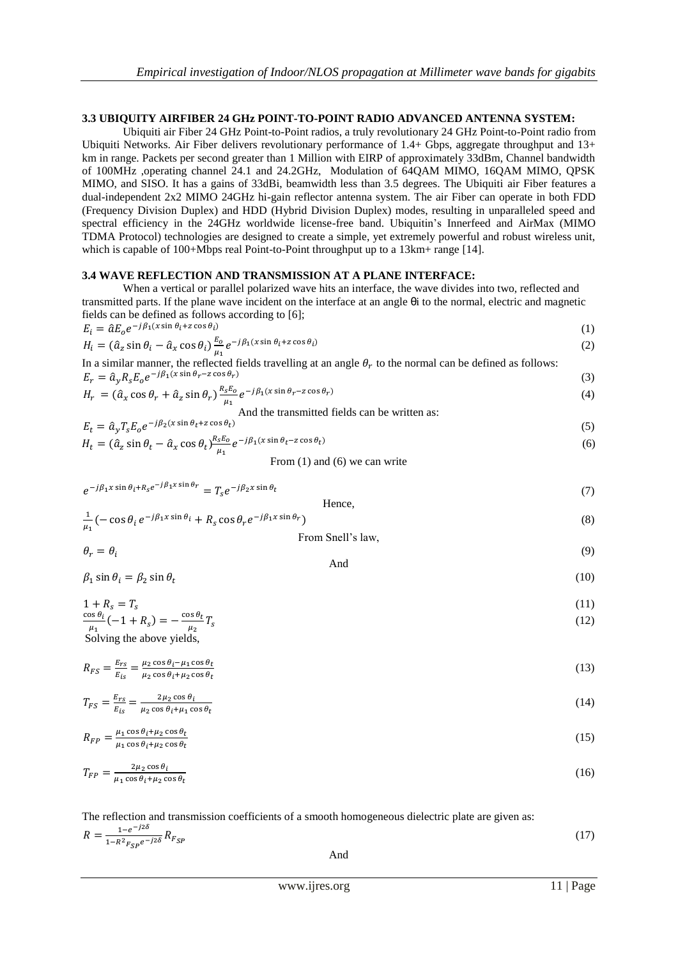### **3.3 UBIQUITY AIRFIBER 24 GHz POINT-TO-POINT RADIO ADVANCED ANTENNA SYSTEM:**

Ubiquiti air Fiber 24 GHz Point-to-Point radios, a truly revolutionary 24 GHz Point-to-Point radio from Ubiquiti Networks. Air Fiber delivers revolutionary performance of 1.4+ Gbps, aggregate throughput and 13+ km in range. Packets per second greater than 1 Million with EIRP of approximately 33dBm, Channel bandwidth of 100MHz ,operating channel 24.1 and 24.2GHz, Modulation of 64QAM MIMO, 16QAM MIMO, QPSK MIMO, and SISO. It has a gains of 33dBi, beamwidth less than 3.5 degrees. The Ubiquiti air Fiber features a dual-independent 2x2 MIMO 24GHz hi-gain reflector antenna system. The air Fiber can operate in both FDD (Frequency Division Duplex) and HDD (Hybrid Division Duplex) modes, resulting in unparalleled speed and spectral efficiency in the 24GHz worldwide license-free band. Ubiquitin's Innerfeed and AirMax (MIMO TDMA Protocol) technologies are designed to create a simple, yet extremely powerful and robust wireless unit, which is capable of 100+Mbps real Point-to-Point throughput up to a 13km+ range [14].

#### **3.4 WAVE REFLECTION AND TRANSMISSION AT A PLANE INTERFACE:**

When a vertical or parallel polarized wave hits an interface, the wave divides into two, reflected and transmitted parts. If the plane wave incident on the interface at an angle θi to the normal, electric and magnetic fields can be defined as follows according to [6];

$$
E_i = \hat{a}E_0 e^{-j\beta_1(x\sin\theta_i + z\cos\theta_i)}
$$
  
\n
$$
H_i = (\hat{a}_z\sin\theta_i - \hat{a}_x\cos\theta_i)\frac{E_0}{\mu_1}e^{-j\beta_1(x\sin\theta_i + z\cos\theta_i)}
$$
\n(1)

In a similar manner, the reflected fields travelling at an angle  $\theta_r$  to the normal can be defined as follows:  $E_r = \hat{a}_v R_s E_o e^{-}$ (3)

$$
H_r = (\hat{a}_x \cos \theta_r + \hat{a}_z \sin \theta_r) \frac{R_s E_0}{\mu_1} e^{-j\beta_1 (x \sin \theta_r - z \cos \theta_r)}
$$
(4)

And the transmitted fields can be written as:

$$
E_t = \hat{a}_y T_s E_0 e^{-j\beta_2 (x \sin \theta_t + z \cos \theta_t)}
$$
(5)  
\n
$$
H_t = (\hat{a}_z \sin \theta_t - \hat{a}_x \cos \theta_t) \frac{R_s E_0}{\mu_1} e^{-j\beta_1 (x \sin \theta_t - z \cos \theta_t)}
$$
(6)

From  $(1)$  and  $(6)$  we can write

$$
e^{-j\beta_1 x \sin \theta_i + R_s e^{-j\beta_1 x \sin \theta_r}} = T_s e^{-j\beta_2 x \sin \theta_t}
$$
\nHence

$$
\frac{1}{\mu_1} \left( -\cos \theta_i \, e^{-j\beta_1 x \sin \theta_i} + R_s \cos \theta_r e^{-j\beta_1 x \sin \theta_r} \right)
$$
\n
$$
\text{From Snell's law,}
$$
\n(8)

$$
\theta_r = \theta_i
$$

 $\beta_1$  sin  $\theta_i = \beta_2$  sin  $\theta_t$ 

And

$$
(10)
$$

(9)

 $\mathbf{1}$  (11)  $\mathbf c$  $\frac{\partial s \theta_i}{\mu_1}(-1 + R_s) = -\frac{c}{s}$  $\frac{\partial^2 U_t}{\partial t^2}T$  (12) Solving the above yields,

$$
R_{FS} = \frac{E_{rs}}{E_{is}} = \frac{\mu_2 \cos \theta_i - \mu_1 \cos \theta_t}{\mu_2 \cos \theta_i + \mu_2 \cos \theta_t} \tag{13}
$$

$$
T_{FS} = \frac{E_{rs}}{E_{is}} = \frac{2\mu_2 \cos \theta_i}{\mu_2 \cos \theta_i + \mu_1 \cos \theta_t}
$$
(14)

$$
R_{FP} = \frac{\mu_1 \cos \theta_i + \mu_2 \cos \theta_t}{\mu_1 \cos \theta_i + \mu_2 \cos \theta_t} \tag{15}
$$

$$
T_{FP} = \frac{2\mu_2 \cos \theta_i}{\mu_1 \cos \theta_i + \mu_2 \cos \theta_t} \tag{16}
$$

The reflection and transmission coefficients of a smooth homogeneous dielectric plate are given as:

| $R = \frac{1 - e^{-j2\delta}}{1 - R^2 F_{SP} e^{-j2\delta}} R_{F_{SP}}$ |     | $\perp$ |
|-------------------------------------------------------------------------|-----|---------|
|                                                                         | And |         |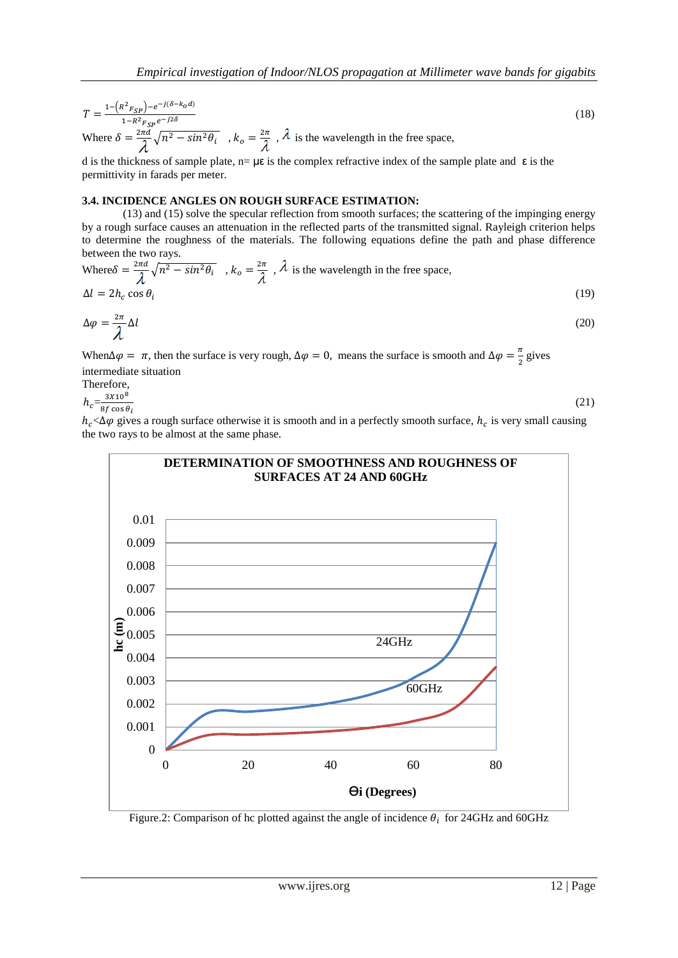$$
T = \frac{1 - (R^2 F_{SP}) - e^{-j(\delta - k_0 d)}}{1 - R^2 F_{SP} e^{-j2\delta}}
$$
  
Where  $\delta = \frac{2\pi d}{\lambda} \sqrt{n^2 - \sin^2 \theta_i}$ ,  $k_o = \frac{2\pi}{\lambda}$ ,  $\lambda$  is the wavelength in the free space,

d is the thickness of sample plate,  $n = \mu \varepsilon$  is the complex refractive index of the sample plate and  $\varepsilon$  is the permittivity in farads per meter.

### **3.4. INCIDENCE ANGLES ON ROUGH SURFACE ESTIMATION:**

(13) and (15) solve the specular reflection from smooth surfaces; the scattering of the impinging energy by a rough surface causes an attenuation in the reflected parts of the transmitted signal. Rayleigh criterion helps to determine the roughness of the materials. The following equations define the path and phase difference between the two rays.

Where 
$$
\delta = \frac{2\pi d}{\lambda} \sqrt{n^2 - \sin^2 \theta_i}
$$
,  $k_o = \frac{2\pi}{\lambda}$ ,  $\lambda$  is the wavelength in the free space,  
\n $\Delta l = 2h_c \cos \theta_i$  (19)

$$
\Delta \varphi = \frac{2\pi}{\lambda} \Delta l \tag{20}
$$

When  $\Delta \varphi = \pi$ , then the surface is very rough,  $\Delta \varphi = 0$ , means the surface is smooth and  $\Delta \varphi = \frac{\pi}{2}$  $\frac{\pi}{2}$  gives intermediate situation

Therefore,

 $3x10^8$ 

$$
h_c = \frac{3410}{8f \cos \theta_i}
$$

(21)

(18)

 $h_c < \Delta \varphi$  gives a rough surface otherwise it is smooth and in a perfectly smooth surface,  $h_c$  is very small causing the two rays to be almost at the same phase.



Figure.2: Comparison of hc plotted against the angle of incidence  $\theta_i$  for 24GHz and 60GHz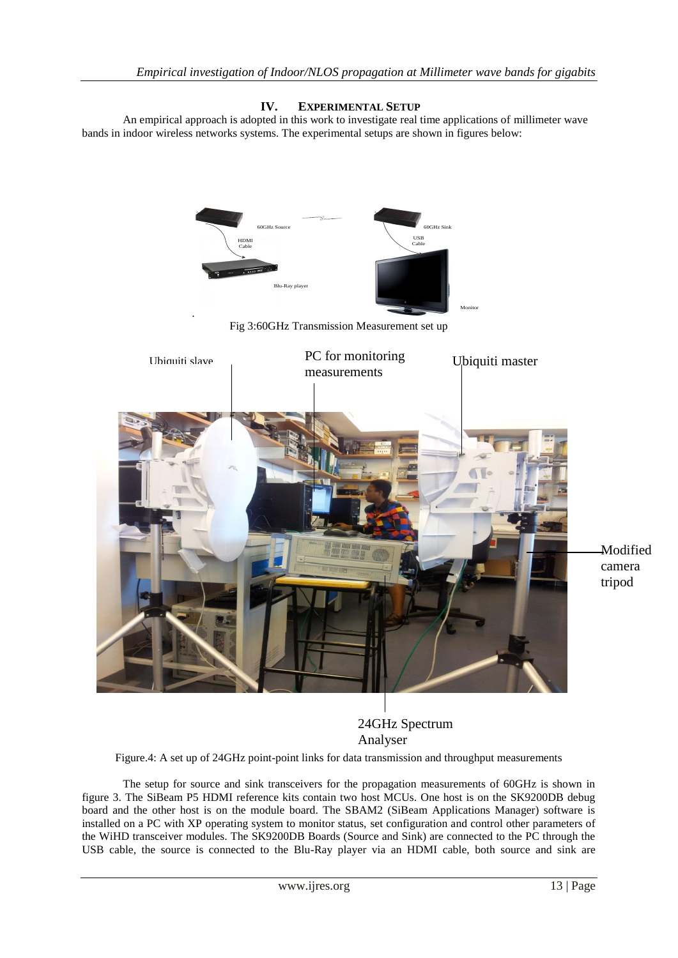# **IV. EXPERIMENTAL SETUP**

An empirical approach is adopted in this work to investigate real time applications of millimeter wave bands in indoor wireless networks systems. The experimental setups are shown in figures below:



24GHz Spectrum Analyser

Figure.4: A set up of 24GHz point-point links for data transmission and throughput measurements

The setup for source and sink transceivers for the propagation measurements of 60GHz is shown in figure 3. The SiBeam P5 HDMI reference kits contain two host MCUs. One host is on the SK9200DB debug board and the other host is on the module board. The SBAM2 (SiBeam Applications Manager) software is installed on a PC with XP operating system to monitor status, set configuration and control other parameters of the WiHD transceiver modules. The SK9200DB Boards (Source and Sink) are connected to the PC through the USB cable, the source is connected to the Blu-Ray player via an HDMI cable, both source and sink are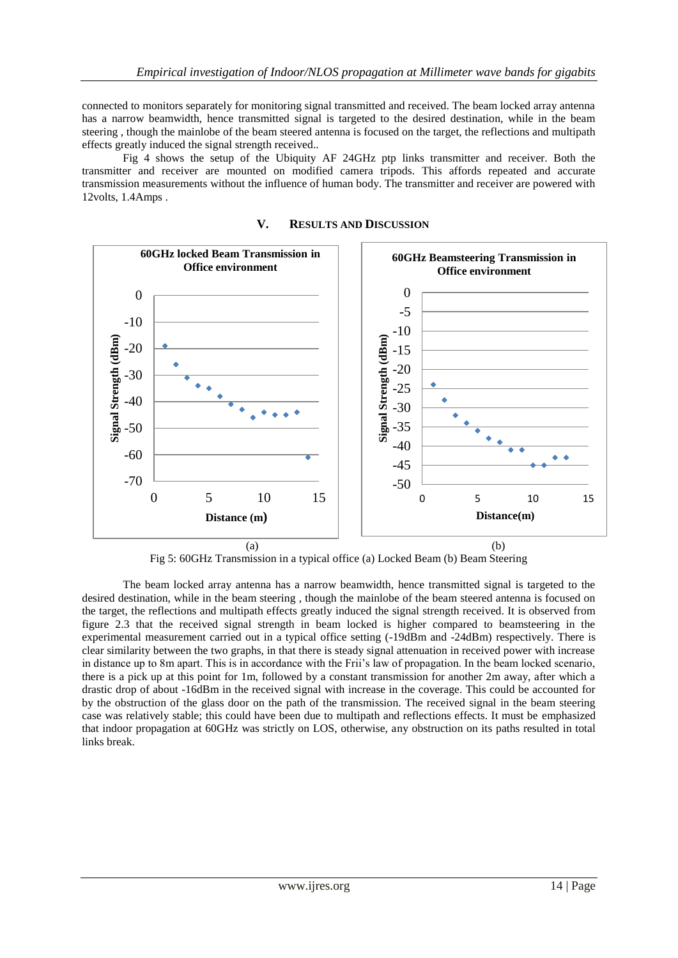connected to monitors separately for monitoring signal transmitted and received. The beam locked array antenna has a narrow beamwidth, hence transmitted signal is targeted to the desired destination, while in the beam steering , though the mainlobe of the beam steered antenna is focused on the target, the reflections and multipath effects greatly induced the signal strength received..

Fig 4 shows the setup of the Ubiquity AF 24GHz ptp links transmitter and receiver. Both the transmitter and receiver are mounted on modified camera tripods. This affords repeated and accurate transmission measurements without the influence of human body. The transmitter and receiver are powered with 12volts, 1.4Amps .



**V. RESULTS AND DISCUSSION**

Fig 5: 60GHz Transmission in a typical office (a) Locked Beam (b) Beam Steering

The beam locked array antenna has a narrow beamwidth, hence transmitted signal is targeted to the desired destination, while in the beam steering , though the mainlobe of the beam steered antenna is focused on the target, the reflections and multipath effects greatly induced the signal strength received. It is observed from figure 2.3 that the received signal strength in beam locked is higher compared to beamsteering in the experimental measurement carried out in a typical office setting (-19dBm and -24dBm) respectively. There is clear similarity between the two graphs, in that there is steady signal attenuation in received power with increase in distance up to 8m apart. This is in accordance with the Frii's law of propagation. In the beam locked scenario, there is a pick up at this point for 1m, followed by a constant transmission for another 2m away, after which a drastic drop of about -16dBm in the received signal with increase in the coverage. This could be accounted for by the obstruction of the glass door on the path of the transmission. The received signal in the beam steering case was relatively stable; this could have been due to multipath and reflections effects. It must be emphasized that indoor propagation at 60GHz was strictly on LOS, otherwise, any obstruction on its paths resulted in total links break.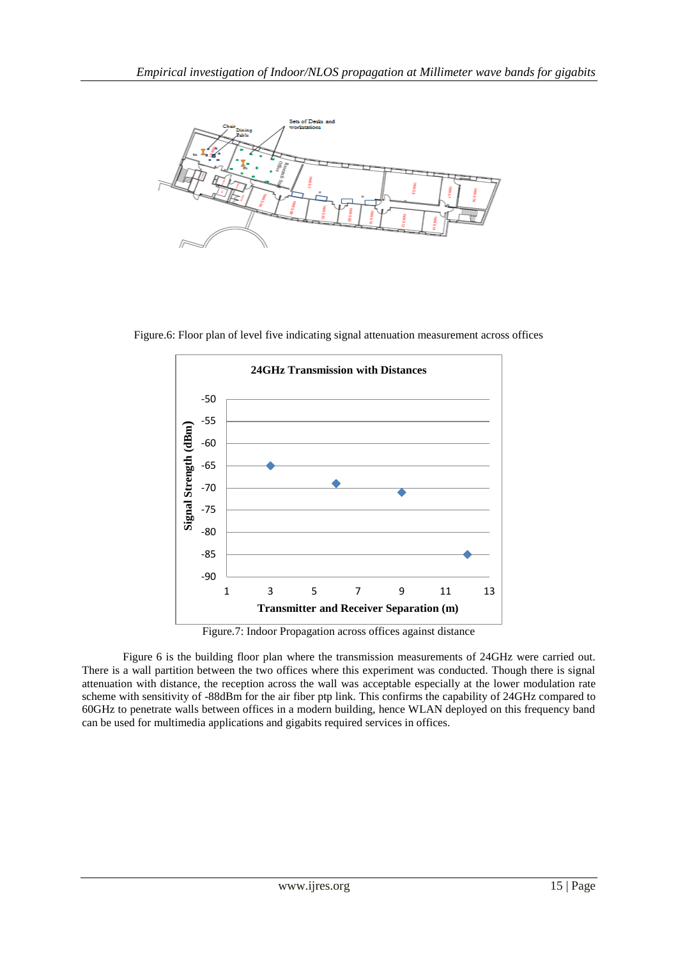

Figure.6: Floor plan of level five indicating signal attenuation measurement across offices



Figure.7: Indoor Propagation across offices against distance

Figure 6 is the building floor plan where the transmission measurements of 24GHz were carried out. There is a wall partition between the two offices where this experiment was conducted. Though there is signal attenuation with distance, the reception across the wall was acceptable especially at the lower modulation rate scheme with sensitivity of -88dBm for the air fiber ptp link. This confirms the capability of 24GHz compared to 60GHz to penetrate walls between offices in a modern building, hence WLAN deployed on this frequency band can be used for multimedia applications and gigabits required services in offices.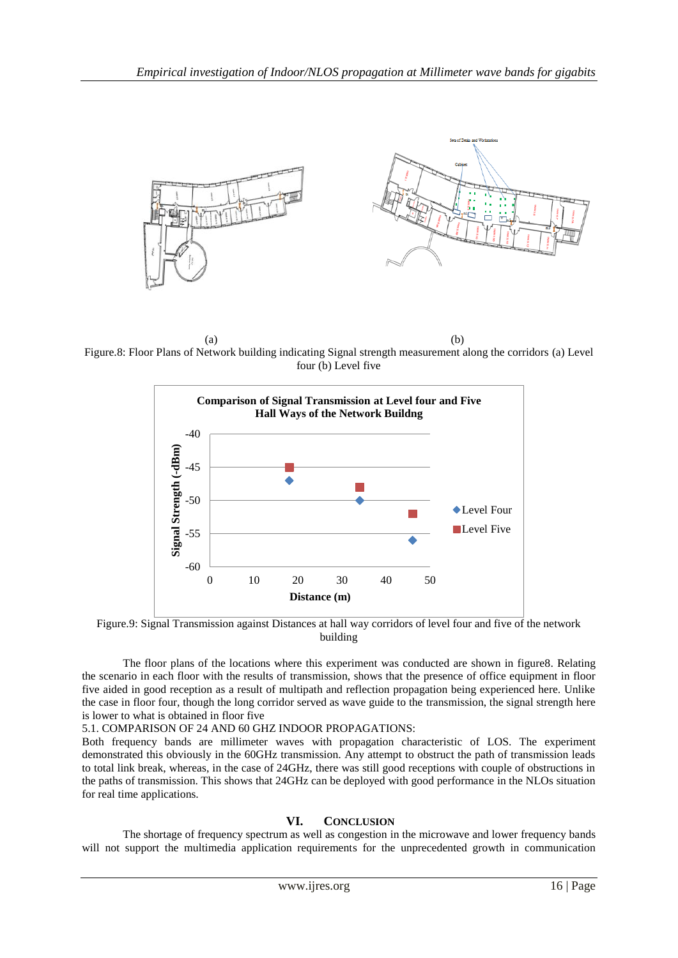

 $(a)$  (b) Figure.8: Floor Plans of Network building indicating Signal strength measurement along the corridors (a) Level four (b) Level five



Figure.9: Signal Transmission against Distances at hall way corridors of level four and five of the network building

The floor plans of the locations where this experiment was conducted are shown in figure8. Relating the scenario in each floor with the results of transmission, shows that the presence of office equipment in floor five aided in good reception as a result of multipath and reflection propagation being experienced here. Unlike the case in floor four, though the long corridor served as wave guide to the transmission, the signal strength here is lower to what is obtained in floor five

#### 5.1. COMPARISON OF 24 AND 60 GHZ INDOOR PROPAGATIONS:

Both frequency bands are millimeter waves with propagation characteristic of LOS. The experiment demonstrated this obviously in the 60GHz transmission. Any attempt to obstruct the path of transmission leads to total link break, whereas, in the case of 24GHz, there was still good receptions with couple of obstructions in the paths of transmission. This shows that 24GHz can be deployed with good performance in the NLOs situation for real time applications.

#### **VI. CONCLUSION**

The shortage of frequency spectrum as well as congestion in the microwave and lower frequency bands will not support the multimedia application requirements for the unprecedented growth in communication